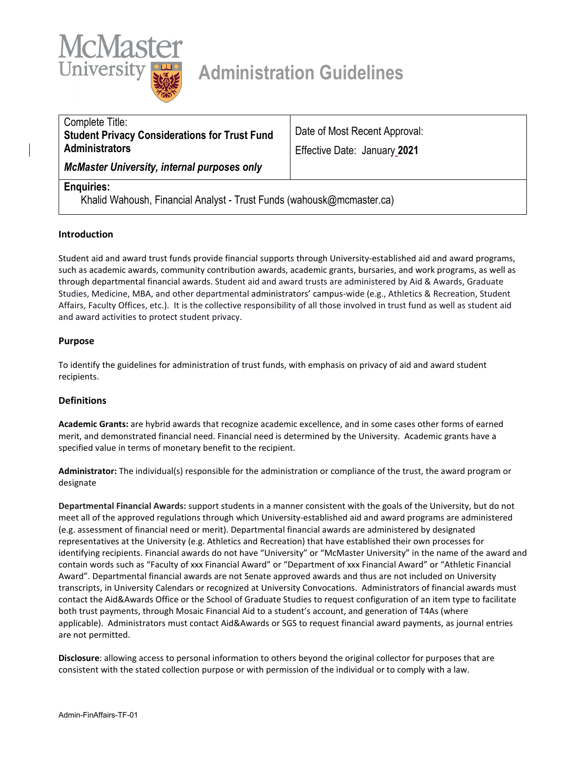

# **Administration Guidelines**

| Complete Title:<br><b>Student Privacy Considerations for Trust Fund</b> | Date of Most Recent Approval: |
|-------------------------------------------------------------------------|-------------------------------|
| <b>Administrators</b>                                                   | Effective Date: January 2021  |
| <b>McMaster University, internal purposes only</b>                      |                               |

# **Enquiries:**

Khalid Wahoush, Financial Analyst - Trust Funds (wahousk@mcmaster.ca)

#### **Introduction**

Student aid and award trust funds provide financial supports through University-established aid and award programs, such as academic awards, community contribution awards, academic grants, bursaries, and work programs, as well as through departmental financial awards. Student aid and award trusts are administered by Aid & Awards, Graduate Studies, Medicine, MBA, and other departmental administrators' campus-wide (e.g., Athletics & Recreation, Student Affairs, Faculty Offices, etc.). It is the collective responsibility of all those involved in trust fund as well as student aid and award activities to protect student privacy.

#### **Purpose**

To identify the guidelines for administration of trust funds, with emphasis on privacy of aid and award student recipients.

#### **Definitions**

**Academic Grants:** are hybrid awards that recognize academic excellence, and in some cases other forms of earned merit, and demonstrated financial need. Financial need is determined by the University. Academic grants have a specified value in terms of monetary benefit to the recipient.

**Administrator:** The individual(s) responsible for the administration or compliance of the trust, the award program or designate

**Departmental Financial Awards:** support students in a manner consistent with the goals of the University, but do not meet all of the approved regulations through which University-established aid and award programs are administered (e.g. assessment of financial need or merit). Departmental financial awards are administered by designated representatives at the University (e.g. Athletics and Recreation) that have established their own processes for identifying recipients. Financial awards do not have "University" or "McMaster University" in the name of the award and contain words such as "Faculty of xxx Financial Award" or "Department of xxx Financial Award" or "Athletic Financial Award". Departmental financial awards are not Senate approved awards and thus are not included on University transcripts, in University Calendars or recognized at University Convocations. Administrators of financial awards must contact the Aid&Awards Office or the School of Graduate Studies to request configuration of an item type to facilitate both trust payments, through Mosaic Financial Aid to a student's account, and generation of T4As (where applicable). Administrators must contact Aid&Awards or SGS to request financial award payments, as journal entries are not permitted.

**Disclosure**: allowing access to personal information to others beyond the original collector for purposes that are consistent with the stated collection purpose or with permission of the individual or to comply with a law.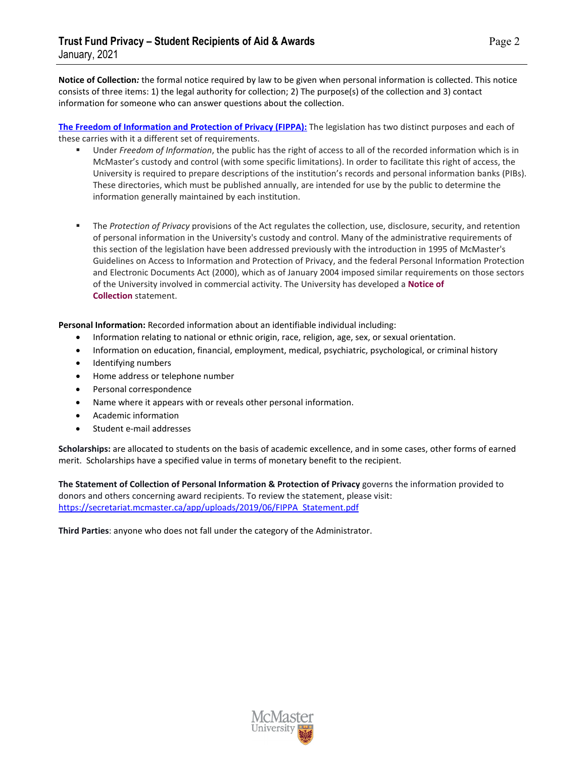**Notice of Collection***:* the formal notice required by law to be given when personal information is collected. This notice consists of three items: 1) the legal authority for collection; 2) The purpose(s) of the collection and 3) contact information for someone who can answer questions about the collection.

**The Freedom of Information and Protection of Privacy (FIPPA):** The legislation has two distinct purposes and each of these carries with it a different set of requirements.

- Under *Freedom of Information*, the public has the right of access to all of the recorded information which is in McMaster's custody and control (with some specific limitations). In order to facilitate this right of access, the University is required to prepare descriptions of the institution's records and personal information banks (PIBs). These directories, which must be published annually, are intended for use by the public to determine the information generally maintained by each institution.
- The *Protection of Privacy* provisions of the Act regulates the collection, use, disclosure, security, and retention of personal information in the University's custody and control. Many of the administrative requirements of this section of the legislation have been addressed previously with the introduction in 1995 of McMaster's Guidelines on Access to Information and Protection of Privacy, and the federal Personal Information Protection and Electronic Documents Act (2000), which as of January 2004 imposed similar requirements on those sectors of the University involved in commercial activity. The University has developed a **[Notice of](https://www.mcmaster.ca/privacy/fippa/docs/FIPPA_Statement.pdf)  [Collection](https://www.mcmaster.ca/privacy/fippa/docs/FIPPA_Statement.pdf)** statement.

**Personal Information:** Recorded information about an identifiable individual including:

- Information relating to national or ethnic origin, race, religion, age, sex, or sexual orientation.
- Information on education, financial, employment, medical, psychiatric, psychological, or criminal history
- Identifying numbers
- Home address or telephone number
- Personal correspondence
- Name where it appears with or reveals other personal information.
- Academic information
- Student e-mail addresses

**Scholarships:** are allocated to students on the basis of academic excellence, and in some cases, other forms of earned merit. Scholarships have a specified value in terms of monetary benefit to the recipient.

**The Statement of Collection of Personal Information & Protection of Privacy** governs the information provided to donors and others concerning award recipients. To review the statement, please visit: [https://secretariat.mcmaster.ca/app/uploads/2019/06/FIPPA\\_Statement.pdf](https://secretariat.mcmaster.ca/app/uploads/2019/06/FIPPA_Statement.pdf)

**Third Parties**: anyone who does not fall under the category of the Administrator.

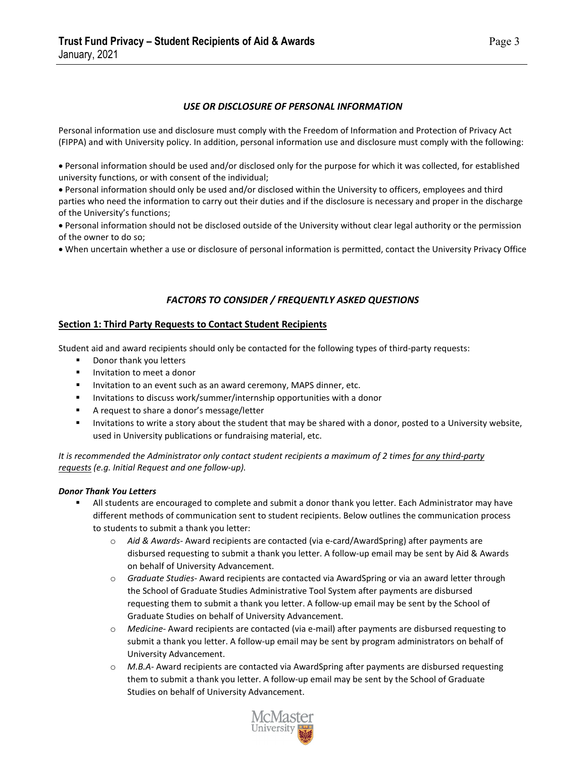### *USE OR DISCLOSURE OF PERSONAL INFORMATION*

Personal information use and disclosure must comply with the Freedom of Information and Protection of Privacy Act (FIPPA) and with University policy. In addition, personal information use and disclosure must comply with the following:

• Personal information should be used and/or disclosed only for the purpose for which it was collected, for established university functions, or with consent of the individual;

• Personal information should only be used and/or disclosed within the University to officers, employees and third parties who need the information to carry out their duties and if the disclosure is necessary and proper in the discharge of the University's functions;

• Personal information should not be disclosed outside of the University without clear legal authority or the permission of the owner to do so;

• When uncertain whether a use or disclosure of personal information is permitted, contact the University Privacy Office

### *FACTORS TO CONSIDER / FREQUENTLY ASKED QUESTIONS*

#### **Section 1: Third Party Requests to Contact Student Recipients**

Student aid and award recipients should only be contacted for the following types of third-party requests:

- **Donor thank you letters**
- **Invitation to meet a donor**
- Invitation to an event such as an award ceremony, MAPS dinner, etc.
- **Invitations to discuss work/summer/internship opportunities with a donor**
- **A** request to share a donor's message/letter
- Invitations to write a story about the student that may be shared with a donor, posted to a University website, used in University publications or fundraising material, etc.

*It is recommended the Administrator only contact student recipients a maximum of 2 times for any third-party requests (e.g. Initial Request and one follow-up).* 

#### *Donor Thank You Letters*

- All students are encouraged to complete and submit a donor thank you letter. Each Administrator may have different methods of communication sent to student recipients. Below outlines the communication process to students to submit a thank you letter:
	- o *Aid & Awards* Award recipients are contacted (via e-card/AwardSpring) after payments are disbursed requesting to submit a thank you letter. A follow-up email may be sent by Aid & Awards on behalf of University Advancement.
	- o *Graduate Studies-* Award recipients are contacted via AwardSpring or via an award letter through the School of Graduate Studies Administrative Tool System after payments are disbursed requesting them to submit a thank you letter. A follow-up email may be sent by the School of Graduate Studies on behalf of University Advancement.
	- o *Medicine-* Award recipients are contacted (via e-mail) after payments are disbursed requesting to submit a thank you letter. A follow-up email may be sent by program administrators on behalf of University Advancement.
	- o *M.B.A-* Award recipients are contacted via AwardSpring after payments are disbursed requesting them to submit a thank you letter. A follow-up email may be sent by the School of Graduate Studies on behalf of University Advancement.

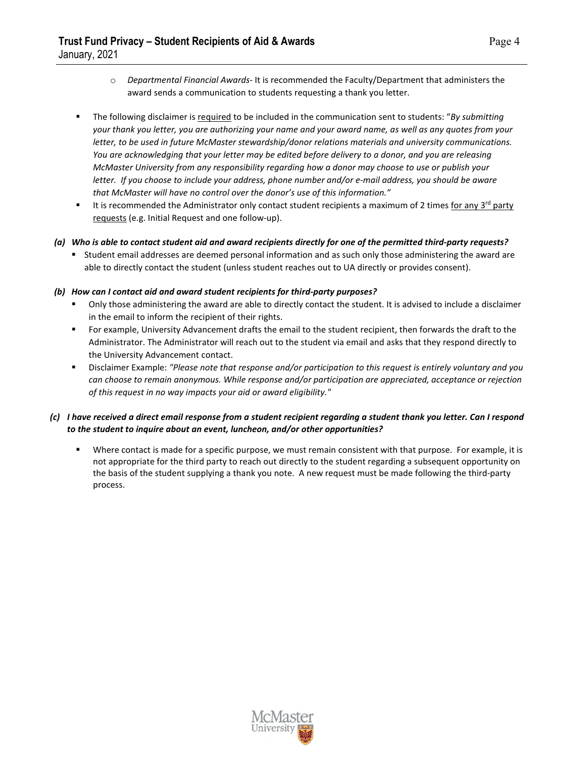- o *Departmental Financial Awards-* It is recommended the Faculty/Department that administers the award sends a communication to students requesting a thank you letter.
- The following disclaimer is required to be included in the communication sent to students: "*By submitting your thank you letter, you are authorizing your name and your award name, as well as any quotes from your letter, to be used in future McMaster stewardship/donor relations materials and university communications. You are acknowledging that your letter may be edited before delivery to a donor, and you are releasing McMaster University from any responsibility regarding how a donor may choose to use or publish your letter. If you choose to include your address, phone number and/or e-mail address, you should be aware that McMaster will have no control over the donor's use of this information."*
- It is recommended the Administrator only contact student recipients a maximum of 2 times for any 3<sup>rd</sup> party requests (e.g. Initial Request and one follow-up).

#### *(a) Who is able to contact student aid and award recipients directly for one of the permitted third-party requests?*

 Student email addresses are deemed personal information and as such only those administering the award are able to directly contact the student (unless student reaches out to UA directly or provides consent).

#### *(b) How can I contact aid and award student recipients for third-party purposes?*

- Only those administering the award are able to directly contact the student. It is advised to include a disclaimer in the email to inform the recipient of their rights.
- For example, University Advancement drafts the email to the student recipient, then forwards the draft to the Administrator. The Administrator will reach out to the student via email and asks that they respond directly to the University Advancement contact.
- Disclaimer Example: *"Please note that response and/or participation to this request is entirely voluntary and you can choose to remain anonymous. While response and/or participation are appreciated, acceptance or rejection of this request in no way impacts your aid or award eligibility."*

### *(c) I have received a direct email response from a student recipient regarding a student thank you letter. Can I respond to the student to inquire about an event, luncheon, and/or other opportunities?*

 Where contact is made for a specific purpose, we must remain consistent with that purpose. For example, it is not appropriate for the third party to reach out directly to the student regarding a subsequent opportunity on the basis of the student supplying a thank you note. A new request must be made following the third-party process.

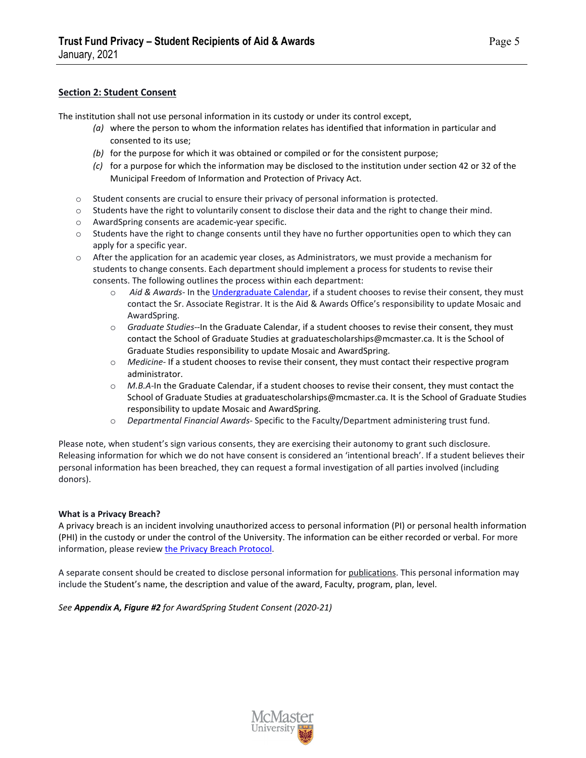### **Section 2: Student Consent**

The institution shall not use personal information in its custody or under its control except,

- *(a)* where the person to whom the information relates has identified that information in particular and consented to its use;
- *(b)* for the purpose for which it was obtained or compiled or for the consistent purpose;
- *(c)* for a purpose for which the information may be disclosed to the institution under section 42 or 32 of the Municipal Freedom of Information and Protection of Privacy Act.
- o Student consents are crucial to ensure their privacy of personal information is protected.
- o Students have the right to voluntarily consent to disclose their data and the right to change their mind.
- o AwardSpring consents are academic-year specific.
- $\circ$  Students have the right to change consents until they have no further opportunities open to which they can apply for a specific year.
- $\circ$  After the application for an academic year closes, as Administrators, we must provide a mechanism for students to change consents. Each department should implement a process for students to revise their consents. The following outlines the process within each department:
	- o *Aid & Awards* In the [Undergraduate Calendar,](https://academiccalendars.romcmaster.ca/mime/media/38/4160/Undergraduate+Calendar+2019-2020-FINAL-PRINT.pdf) if a student chooses to revise their consent, they must contact the Sr. Associate Registrar. It is the Aid & Awards Office's responsibility to update Mosaic and AwardSpring.
	- o *Graduate Studies-*-In the Graduate Calendar, if a student chooses to revise their consent, they must contact the School of Graduate Studies at graduatescholarships@mcmaster.ca. It is the School of Graduate Studies responsibility to update Mosaic and AwardSpring.
	- o *Medicine-* If a student chooses to revise their consent, they must contact their respective program administrator.
	- o *M.B.A-*In the Graduate Calendar, if a student chooses to revise their consent, they must contact the School of Graduate Studies at graduatescholarships@mcmaster.ca. It is the School of Graduate Studies responsibility to update Mosaic and AwardSpring.
	- o *Departmental Financial Awards-* Specific to the Faculty/Department administering trust fund.

Please note, when student's sign various consents, they are exercising their autonomy to grant such disclosure. Releasing information for which we do not have consent is considered an 'intentional breach'. If a student believes their personal information has been breached, they can request a formal investigation of all parties involved (including donors).

#### **What is a Privacy Breach?**

A privacy breach is an incident involving unauthorized access to personal information (PI) or personal health information (PHI) in the custody or under the control of the University. The information can be either recorded or verbal. For more information, please revie[w the Privacy Breach Protocol.](https://secretariat.mcmaster.ca/app/uploads/2018/11/privacy-breach-protocol.pdf) 

A separate consent should be created to disclose personal information for publications. This personal information may include the Student's name, the description and value of the award, Faculty, program, plan, level.

*See Appendix A, Figure #2 for AwardSpring Student Consent (2020-21)*

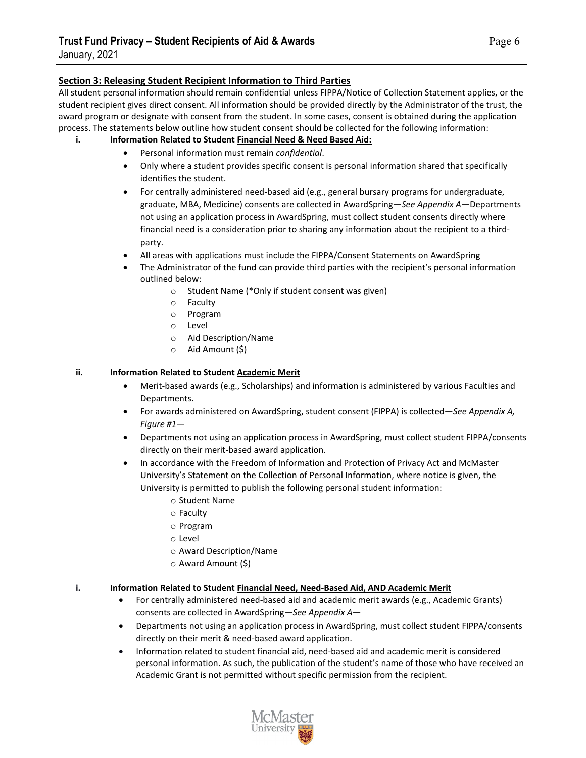#### **Section 3: Releasing Student Recipient Information to Third Parties**

All student personal information should remain confidential unless FIPPA/Notice of Collection Statement applies, or the student recipient gives direct consent. All information should be provided directly by the Administrator of the trust, the award program or designate with consent from the student. In some cases, consent is obtained during the application process. The statements below outline how student consent should be collected for the following information:

#### **i. Information Related to Student Financial Need & Need Based Aid:**

- Personal information must remain *confidential*.
- Only where a student provides specific consent is personal information shared that specifically identifies the student.
- For centrally administered need-based aid (e.g., general bursary programs for undergraduate, graduate, MBA, Medicine) consents are collected in AwardSpring—*See Appendix A*—Departments not using an application process in AwardSpring, must collect student consents directly where financial need is a consideration prior to sharing any information about the recipient to a thirdparty.
- All areas with applications must include the FIPPA/Consent Statements on AwardSpring
- The Administrator of the fund can provide third parties with the recipient's personal information outlined below:
	- o Student Name (\*Only if student consent was given)
	- o Faculty
	- o Program
	- o Level
	- o Aid Description/Name
	- o Aid Amount (\$)

#### **ii. Information Related to Student Academic Merit**

- Merit-based awards (e.g., Scholarships) and information is administered by various Faculties and Departments.
- For awards administered on AwardSpring, student consent (FIPPA) is collected—*See Appendix A, Figure #1*—
- Departments not using an application process in AwardSpring, must collect student FIPPA/consents directly on their merit-based award application.
- In accordance with the Freedom of Information and Protection of Privacy Act and McMaster University's Statement on the Collection of Personal Information, where notice is given, the University is permitted to publish the following personal student information:
	- o Student Name
	- o Faculty
	- o Program
	- o Level
	- o Award Description/Name
	- o Award Amount (\$)

#### **i. Information Related to Student Financial Need, Need-Based Aid, AND Academic Merit**

- For centrally administered need-based aid and academic merit awards (e.g., Academic Grants) consents are collected in AwardSpring—*See Appendix A*—
- Departments not using an application process in AwardSpring, must collect student FIPPA/consents directly on their merit & need-based award application.
- Information related to student financial aid, need-based aid and academic merit is considered personal information. As such, the publication of the student's name of those who have received an Academic Grant is not permitted without specific permission from the recipient.

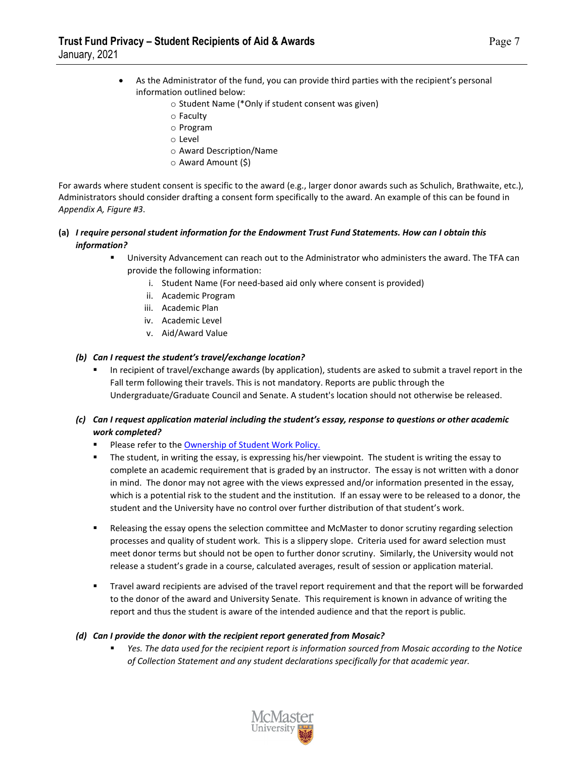- As the Administrator of the fund, you can provide third parties with the recipient's personal information outlined below:
	- o Student Name (\*Only if student consent was given)
	- o Faculty
	- o Program
	- o Level
	- o Award Description/Name
	- o Award Amount (\$)

For awards where student consent is specific to the award (e.g., larger donor awards such as Schulich, Brathwaite, etc.), Administrators should consider drafting a consent form specifically to the award. An example of this can be found in *Appendix A, Figure #3*.

#### **(a)** *I require personal student information for the Endowment Trust Fund Statements. How can I obtain this information?*

- University Advancement can reach out to the Administrator who administers the award. The TFA can provide the following information:
	- i. Student Name (For need-based aid only where consent is provided)
	- ii. Academic Program
	- iii. Academic Plan
	- iv. Academic Level
	- v. Aid/Award Value

#### *(b) Can I request the student's travel/exchange location?*

- In recipient of travel/exchange awards (by application), students are asked to submit a travel report in the Fall term following their travels. This is not mandatory. Reports are public through the Undergraduate/Graduate Council and Senate. A student's location should not otherwise be released.
- *(c) Can I request application material including the student's essay, response to questions or other academic work completed?*
	- Please refer to th[e Ownership of Student Work Policy.](https://secretariat.mcmaster.ca/app/uploads/2019/06/Ownership-of-Student-Work.pdf)
	- The student, in writing the essay, is expressing his/her viewpoint. The student is writing the essay to complete an academic requirement that is graded by an instructor. The essay is not written with a donor in mind. The donor may not agree with the views expressed and/or information presented in the essay, which is a potential risk to the student and the institution. If an essay were to be released to a donor, the student and the University have no control over further distribution of that student's work.
	- Releasing the essay opens the selection committee and McMaster to donor scrutiny regarding selection processes and quality of student work. This is a slippery slope. Criteria used for award selection must meet donor terms but should not be open to further donor scrutiny. Similarly, the University would not release a student's grade in a course, calculated averages, result of session or application material.
	- Travel award recipients are advised of the travel report requirement and that the report will be forwarded to the donor of the award and University Senate. This requirement is known in advance of writing the report and thus the student is aware of the intended audience and that the report is public.

#### *(d) Can I provide the donor with the recipient report generated from Mosaic?*

 *Yes. The data used for the recipient report is information sourced from Mosaic according to the Notice of Collection Statement and any student declarations specifically for that academic year.*

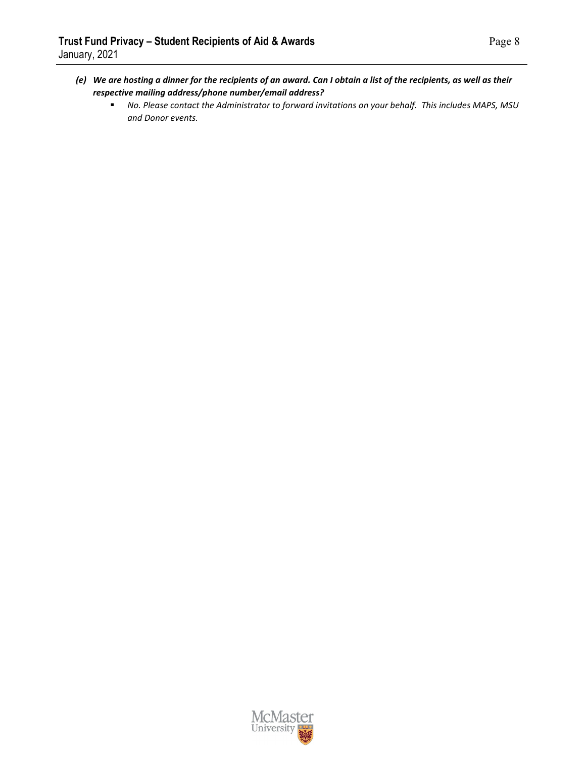- *(e) We are hosting a dinner for the recipients of an award. Can I obtain a list of the recipients, as well as their respective mailing address/phone number/email address?*
	- *No. Please contact the Administrator to forward invitations on your behalf. This includes MAPS, MSU and Donor events.*

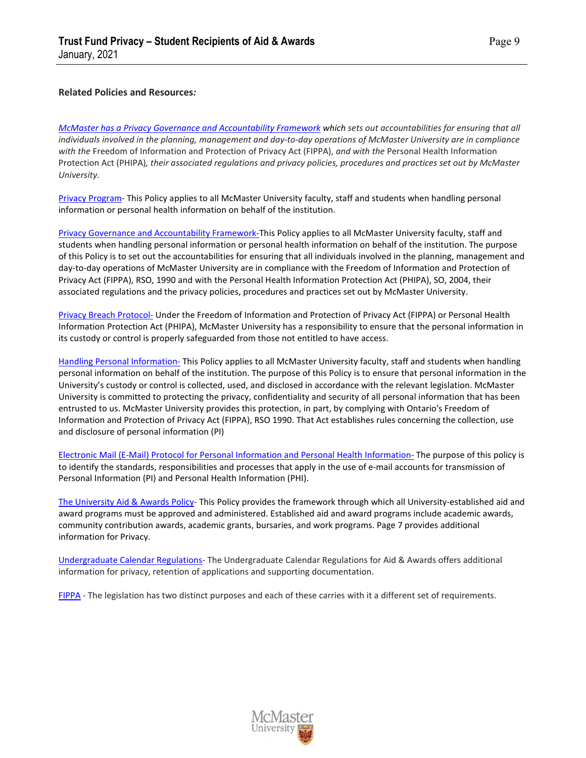#### **Related Policies and Resources***:*

*[McMaster has a Privacy Governance and Accountability Framework](https://secretariat.mcmaster.ca/privacy/privacy-governance-and-accountability-framework-2/) which sets out accountabilities for ensuring that all individuals involved in the planning, management and day-to-day operations of McMaster University are in compliance with the* Freedom of Information and Protection of Privacy Act (FIPPA), *and with the* Personal Health Information Protection Act (PHIPA)*, their associated regulations and privacy policies, procedures and practices set out by McMaster University.* 

[Privacy Program-](https://secretariat.mcmaster.ca/app/uploads/2018/11/Privacy-Program.pdf) This Policy applies to all McMaster University faculty, staff and students when handling personal information or personal health information on behalf of the institution.

[Privacy Governance and Accountability Framework-T](https://secretariat.mcmaster.ca/app/uploads/2018/11/privacy-governance-and-accountability-framework.pdf)his Policy applies to all McMaster University faculty, staff and students when handling personal information or personal health information on behalf of the institution. The purpose of this Policy is to set out the accountabilities for ensuring that all individuals involved in the planning, management and day-to-day operations of McMaster University are in compliance with the Freedom of Information and Protection of Privacy Act (FIPPA), RSO, 1990 and with the Personal Health Information Protection Act (PHIPA), SO, 2004, their associated regulations and the privacy policies, procedures and practices set out by McMaster University.

[Privacy Breach Protocol-](https://secretariat.mcmaster.ca/app/uploads/2018/11/privacy-breach-protocol.pdf) Under the Freedom of Information and Protection of Privacy Act (FIPPA) or Personal Health Information Protection Act (PHIPA), McMaster University has a responsibility to ensure that the personal information in its custody or control is properly safeguarded from those not entitled to have access.

[Handling Personal Information-](https://secretariat.mcmaster.ca/app/uploads/2018/11/handling-of-personal-information-policy.pdf) This Policy applies to all McMaster University faculty, staff and students when handling personal information on behalf of the institution. The purpose of this Policy is to ensure that personal information in the University's custody or control is collected, used, and disclosed in accordance with the relevant legislation. McMaster University is committed to protecting the privacy, confidentiality and security of all personal information that has been entrusted to us. McMaster University provides this protection, in part, by complying with Ontario's Freedom of Information and Protection of Privacy Act (FIPPA), RSO 1990. That Act establishes rules concerning the collection, use and disclosure of personal information (PI)

[Electronic Mail \(E-Mail\) Protocol for Personal Information and Personal Health Information-](https://secretariat.mcmaster.ca/app/uploads/2018/11/email-protocol-for-personal-info-and-personal-health-info.pdf) The purpose of this policy is to identify the standards, responsibilities and processes that apply in the use of e-mail accounts for transmission of Personal Information (PI) and Personal Health Information (PHI).

[The University Aid & Awards Policy-](https://secretariat.mcmaster.ca/app/uploads/University-Aid-and-Awards-Policy-.pdf) This Policy provides the framework through which all University-established aid and award programs must be approved and administered. Established aid and award programs include academic awards, community contribution awards, academic grants, bursaries, and work programs. Page 7 provides additional information for Privacy.

[Undergraduate Calendar Regulations-](https://academiccalendars.romcmaster.ca/content.php?catoid=41&navoid=8635) The Undergraduate Calendar Regulations for Aid & Awards offers additional information for privacy, retention of applications and supporting documentation.

[FIPPA](https://www.ontario.ca/laws/statute/90f31?search=freedom+of+information) - The legislation has two distinct purposes and each of these carries with it a different set of requirements.

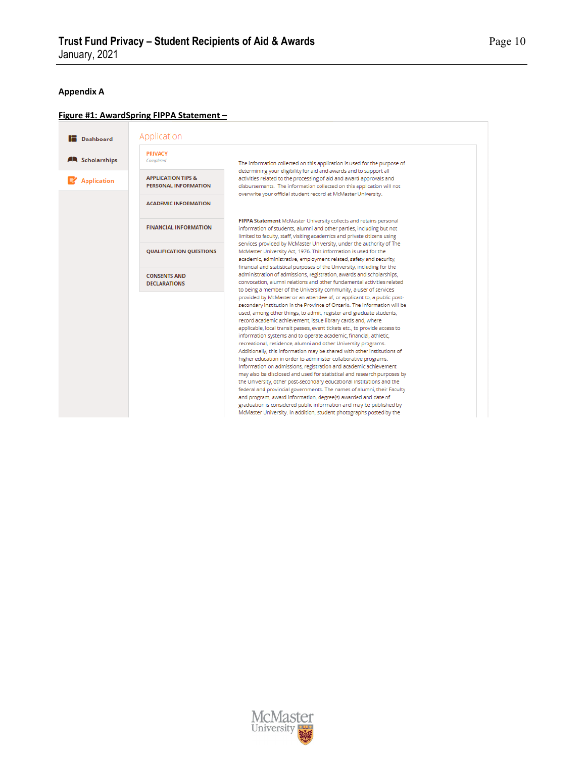# **Appendix A**

# **Figure #1: AwardSpring FIPPA Statement –**

|                                                     | <b>PRIVACY</b>                 |                                                                                                                                                  |
|-----------------------------------------------------|--------------------------------|--------------------------------------------------------------------------------------------------------------------------------------------------|
| <b>AN</b> Scholarships                              | Completed                      | The information collected on this application is used for the purpose of                                                                         |
| <b>APPLICATION TIPS &amp;</b><br><b>Application</b> |                                | determining your eligibility for aid and awards and to support all<br>activities related to the processing of aid and award approvals and        |
|                                                     | <b>PERSONAL INFORMATION</b>    | disbursements. The information collected on this application will not<br>overwrite your official student record at McMaster University.          |
|                                                     | <b>ACADEMIC INFORMATION</b>    |                                                                                                                                                  |
|                                                     |                                | FIPPA Statement McMaster University collects and retains personal                                                                                |
|                                                     | <b>FINANCIAL INFORMATION</b>   | information of students, alumni and other parties, including but not                                                                             |
|                                                     |                                | limited to faculty, staff, visiting academics and private citizens using<br>services provided by McMaster University, under the authority of The |
|                                                     | <b>QUALIFICATION QUESTIONS</b> | McMaster University Act, 1976. This information is used for the                                                                                  |
|                                                     |                                | academic, administrative, employment-related, safety and security,<br>financial and statistical purposes of the University, including for the    |
|                                                     | <b>CONSENTS AND</b>            | administration of admissions, registration, awards and scholarships,                                                                             |
|                                                     | <b>DECLARATIONS</b>            | convocation, alumni relations and other fundamental activities related                                                                           |
|                                                     |                                | to being a member of the University community, a user of services<br>provided by McMaster or an attendee of, or applicant to, a public post-     |
|                                                     |                                | secondary institution in the Province of Ontario. The information will be                                                                        |
|                                                     |                                | used, among other things, to admit, register and graduate students,                                                                              |
|                                                     |                                | record academic achievement, issue library cards and, where<br>applicable, local transit passes, event tickets etc., to provide access to        |
|                                                     |                                | information systems and to operate academic, financial, athletic,                                                                                |
|                                                     |                                | recreational, residence, alumni and other University programs.                                                                                   |
|                                                     |                                | Additionally, this information may be shared with other institutions of                                                                          |
|                                                     |                                | higher education in order to administer collaborative programs.                                                                                  |
|                                                     |                                | Information on admissions, registration and academic achievement<br>may also be disclosed and used for statistical and research purposes by      |
|                                                     |                                | the University, other post-secondary educational institutions and the                                                                            |
|                                                     |                                | federal and provincial governments. The names of alumni, their Faculty                                                                           |
|                                                     |                                | and program, award information, degree(s) awarded and date of                                                                                    |
|                                                     |                                | graduation is considered public information and may be published by                                                                              |

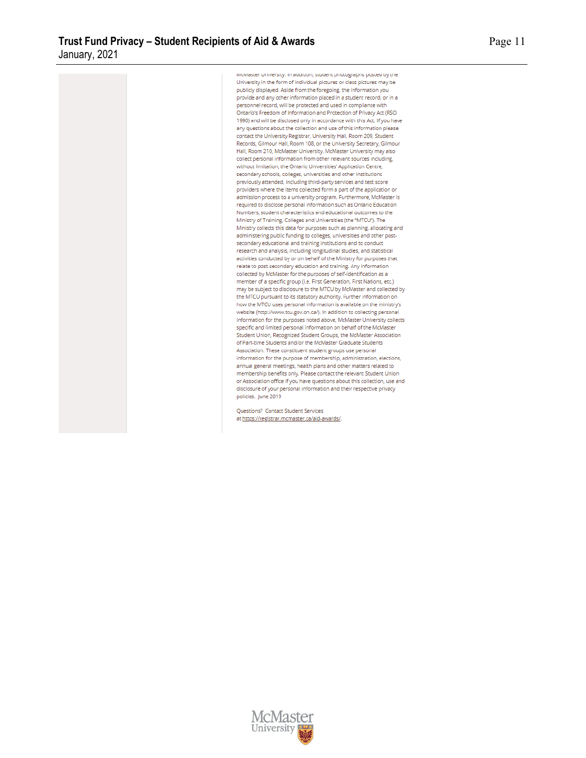iviciviaster omversity, in addition, student photographs posted by the University in the form of individual pictures or class pictures may be publicly displayed. Aside from the foregoing, the information you provide and any other information placed in a student record, or in a personnel record, will be protected and used in compliance with Ontario's Freedom of Information and Protection of Privacy Act (RSO 1990) and will be disclosed only in accordance with this Act. If you have any questions about the collection and use of this information please contact the University Registrar, University Hall, Room 209, Student Records, Gilmour Hall, Room 108, or the University Secretary, Gilmour Hall, Room 210, McMaster University. McMaster University may also collect personal information from other relevant sources including, without limitation, the Ontario Universities' Application Centre, secondary schools, colleges, universities and other institutions previously attended, including third-party services and test score providers where the items collected form a part of the application or admission process to a university program. Furthermore, McMaster is required to disclose personal information such as Ontario Education Numbers, student characteristics and educational outcomes to the Ministry of Training, Colleges and Universities (the "MTCU"). The Ministry collects this data for purposes such as planning, allocating and administering public funding to colleges, universities and other postsecondary educational and training institutions and to conduct research and analysis, including longitudinal studies, and statistical activities conducted by or on behalf of the Ministry for purposes that relate to post-secondary education and training. Any information collected by McMaster for the purposes of self-identification as a member of a specific group (i.e. First Generation, First Nations, etc.) may be subject to disclosure to the MTCU by McMaster and collected by the MTCU pursuant to its statutory authority. Further information on how the MTCU uses personal information is available on the ministry's website (http://www.tcu.gov.on.ca/). In addition to collecting personal information for the purposes noted above, McMaster University collects specific and limited personal information on behalf of the McMaster Student Union, Recognized Student Groups, the McMaster Association of Part-time Students and/or the McMaster Graduate Students Association. These constituent student groups use personal information for the purpose of membership, administration, elections, annual general meetings, health plans and other matters related to membership benefits only. Please contact the relevant Student Union or Association office if you have questions about this collection, use and disclosure of your personal information and their respective privacy policies. June 2019

Questions? Contact Student Services at https://registrar.mcmaster.ca/aid-awards/.



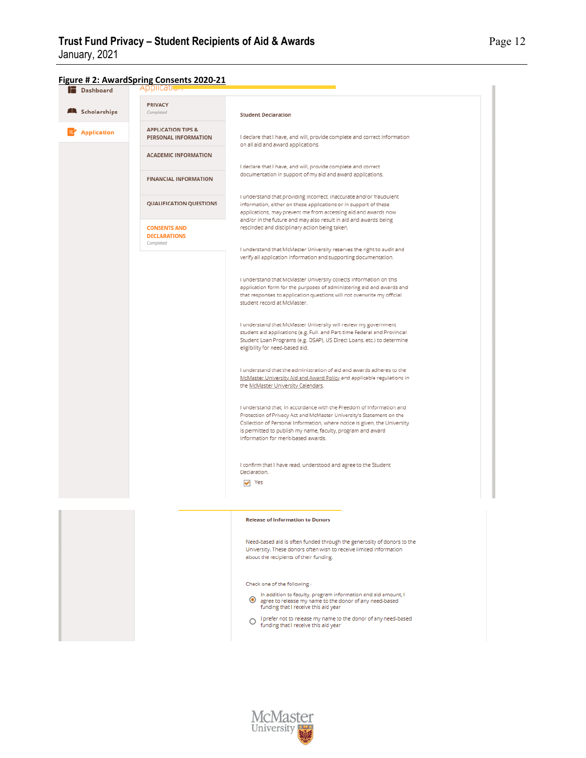

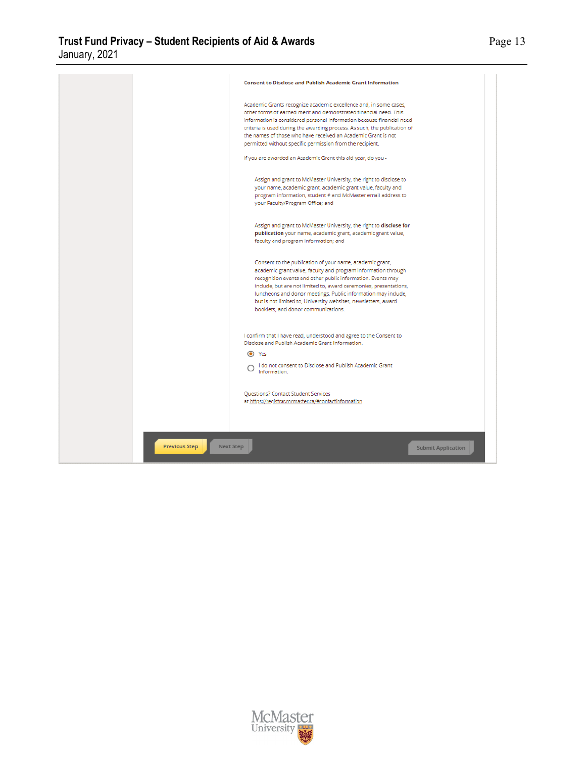

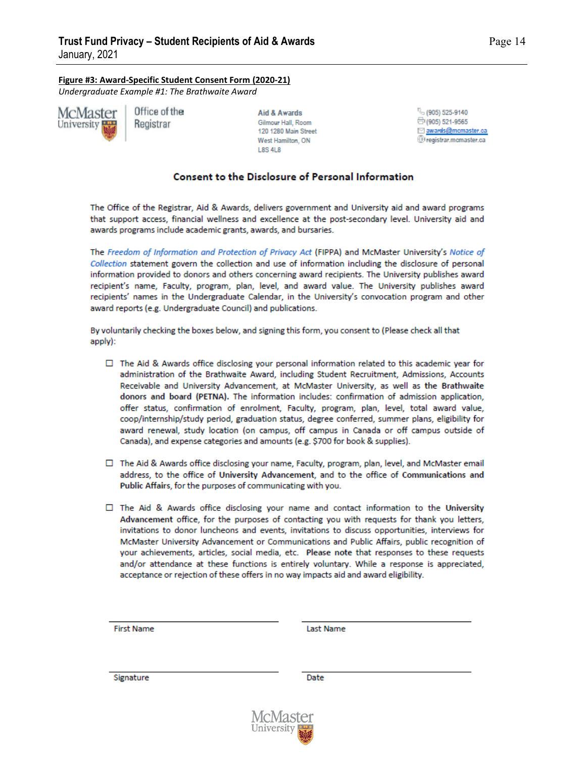**Figure #3: Award-Specific Student Consent Form (2020-21)**

*Undergraduate Example #1: The Brathwaite Award*



Office of the Registrar

Aid & Awards Gilmour Hall, Room 120 1280 Main Street West Hamilton, ON **L8S 4L8** 

(905) 525-9140 □(905) 521-9565 awards@mcmaster.ca Dregistrar.momaster.ca

# **Consent to the Disclosure of Personal Information**

The Office of the Registrar, Aid & Awards, delivers government and University aid and award programs that support access, financial wellness and excellence at the post-secondary level. University aid and awards programs include academic grants, awards, and bursaries.

The Freedom of Information and Protection of Privacy Act (FIPPA) and McMaster University's Notice of Collection statement govern the collection and use of information including the disclosure of personal information provided to donors and others concerning award recipients. The University publishes award recipient's name. Faculty, program, plan, level, and award value. The University publishes award recipients' names in the Undergraduate Calendar, in the University's convocation program and other award reports (e.g. Undergraduate Council) and publications.

By voluntarily checking the boxes below, and signing this form, you consent to (Please check all that apply):

- $\Box$  The Aid & Awards office disclosing your personal information related to this academic year for administration of the Brathwaite Award, including Student Recruitment, Admissions, Accounts Receivable and University Advancement, at McMaster University, as well as the Brathwaite donors and board (PETNA). The information includes: confirmation of admission application. offer status, confirmation of enrolment, Faculty, program, plan, level, total award value, coop/internship/study period, graduation status, degree conferred, summer plans, eligibility for award renewal, study location (on campus, off campus in Canada or off campus outside of Canada), and expense categories and amounts (e.g. \$700 for book & supplies).
- □ The Aid & Awards office disclosing your name, Faculty, program, plan, level, and McMaster email address, to the office of University Advancement, and to the office of Communications and Public Affairs, for the purposes of communicating with you.
- $\Box$  The Aid & Awards office disclosing your name and contact information to the University Advancement office, for the purposes of contacting you with requests for thank you letters, invitations to donor luncheons and events, invitations to discuss opportunities, interviews for McMaster University Advancement or Communications and Public Affairs, public recognition of your achievements, articles, social media, etc. Please note that responses to these requests and/or attendance at these functions is entirely voluntary. While a response is appreciated, acceptance or rejection of these offers in no way impacts aid and award eligibility.

**First Name** 

**Last Name** 

Signature

Date

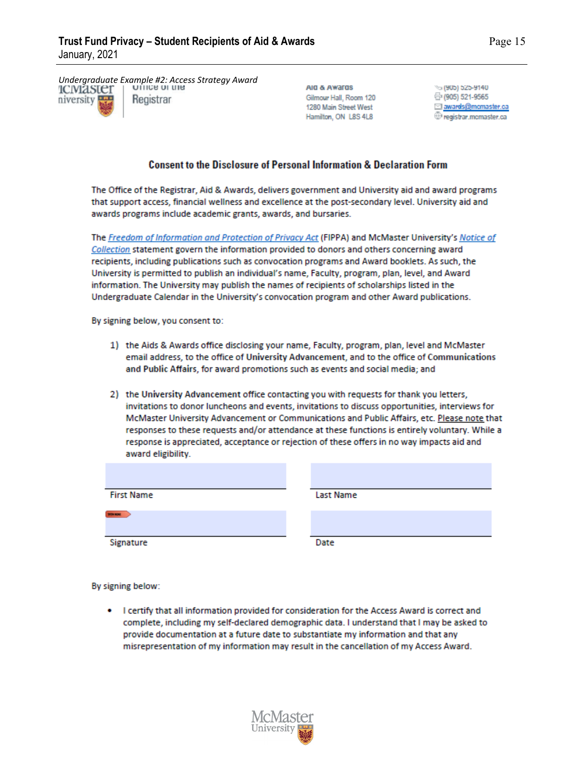*Undergraduate Example #2: Access Strategy Award*niversity Registrar

AIG & AWArds Gilmour Hall, Room 120 1280 Main Street West Hamilton, ON L8S 4L8

% (905) 525-9140 ⊕(905) 521-9565 awards@mcmaster.ca Pregistrar.mcmaster.ca

# **Consent to the Disclosure of Personal Information & Declaration Form**

The Office of the Registrar, Aid & Awards, delivers government and University aid and award programs that support access, financial wellness and excellence at the post-secondary level. University aid and awards programs include academic grants, awards, and bursaries.

The Freedom of Information and Protection of Privacy Act (FIPPA) and McMaster University's Notice of Collection statement govern the information provided to donors and others concerning award recipients, including publications such as convocation programs and Award booklets. As such, the University is permitted to publish an individual's name, Faculty, program, plan, level, and Award information. The University may publish the names of recipients of scholarships listed in the Undergraduate Calendar in the University's convocation program and other Award publications.

By signing below, you consent to:

- 1) the Aids & Awards office disclosing your name, Faculty, program, plan, level and McMaster email address, to the office of University Advancement, and to the office of Communications and Public Affairs, for award promotions such as events and social media; and
- 2) the University Advancement office contacting you with requests for thank you letters, invitations to donor luncheons and events, invitations to discuss opportunities, interviews for McMaster University Advancement or Communications and Public Affairs, etc. Please note that responses to these requests and/or attendance at these functions is entirely voluntary. While a response is appreciated, acceptance or rejection of these offers in no way impacts aid and award eligibility.

| <b>First Name</b>  | <b>Last Name</b> |
|--------------------|------------------|
| <b>Miller make</b> |                  |
| Signature          | Date             |

By signing below:

I certify that all information provided for consideration for the Access Award is correct and complete, including my self-declared demographic data. I understand that I may be asked to provide documentation at a future date to substantiate my information and that any misrepresentation of my information may result in the cancellation of my Access Award.